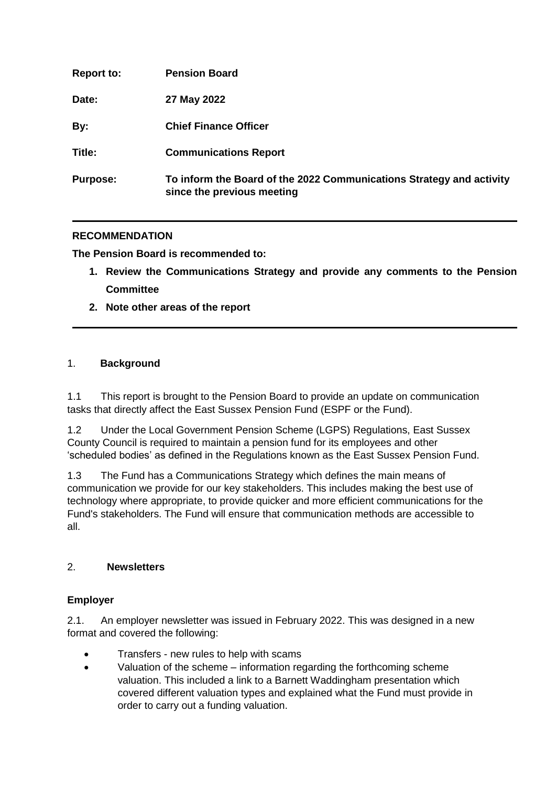| <b>Report to:</b> | <b>Pension Board</b>                                                                               |
|-------------------|----------------------------------------------------------------------------------------------------|
| Date:             | 27 May 2022                                                                                        |
| By:               | <b>Chief Finance Officer</b>                                                                       |
| Title:            | <b>Communications Report</b>                                                                       |
| <b>Purpose:</b>   | To inform the Board of the 2022 Communications Strategy and activity<br>since the previous meeting |

## **RECOMMENDATION**

**The Pension Board is recommended to:**

- **1. Review the Communications Strategy and provide any comments to the Pension Committee**
- **2. Note other areas of the report**

## 1. **Background**

1.1 This report is brought to the Pension Board to provide an update on communication tasks that directly affect the East Sussex Pension Fund (ESPF or the Fund).

1.2 Under the Local Government Pension Scheme (LGPS) Regulations, East Sussex County Council is required to maintain a pension fund for its employees and other 'scheduled bodies' as defined in the Regulations known as the East Sussex Pension Fund.

1.3 The Fund has a Communications Strategy which defines the main means of communication we provide for our key stakeholders. This includes making the best use of technology where appropriate, to provide quicker and more efficient communications for the Fund's stakeholders. The Fund will ensure that communication methods are accessible to all.

## 2. **Newsletters**

## **Employer**

2.1. An employer newsletter was issued in February 2022. This was designed in a new format and covered the following:

- Transfers new rules to help with scams
- Valuation of the scheme information regarding the forthcoming scheme valuation. This included a link to a Barnett Waddingham presentation which covered different valuation types and explained what the Fund must provide in order to carry out a funding valuation.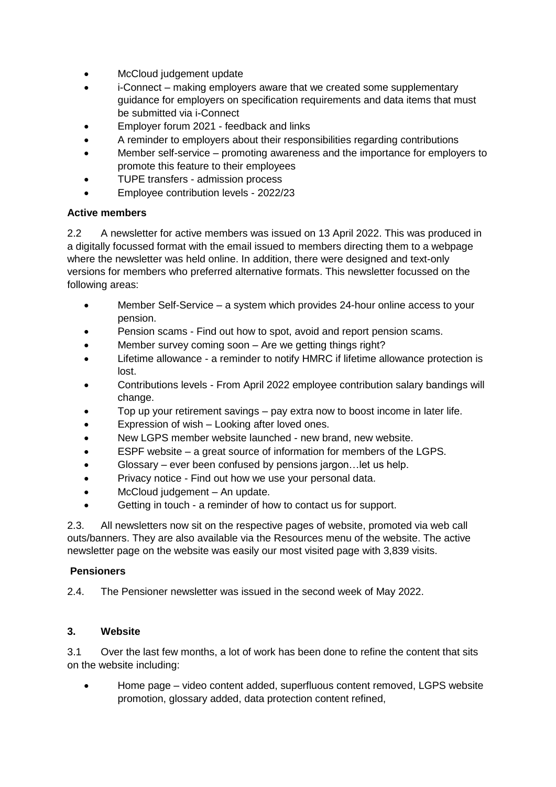- McCloud judgement update
- i-Connect making employers aware that we created some supplementary guidance for employers on specification requirements and data items that must be submitted via i-Connect
- Employer forum 2021 feedback and links
- A reminder to employers about their responsibilities regarding contributions
- Member self-service promoting awareness and the importance for employers to promote this feature to their employees
- TUPE transfers admission process
- Employee contribution levels 2022/23

### **Active members**

2.2 A newsletter for active members was issued on 13 April 2022. This was produced in a digitally focussed format with the email issued to members directing them to a webpage where the newsletter was held online. In addition, there were designed and text-only versions for members who preferred alternative formats. This newsletter focussed on the following areas:

- Member Self-Service a system which provides 24-hour online access to your pension.
- Pension scams Find out how to spot, avoid and report pension scams.
- Member survey coming soon Are we getting things right?
- Lifetime allowance a reminder to notify HMRC if lifetime allowance protection is lost.
- Contributions levels From April 2022 employee contribution salary bandings will change.
- Top up your retirement savings pay extra now to boost income in later life.
- Expression of wish Looking after loved ones.
- New LGPS member website launched new brand, new website.
- ESPF website a great source of information for members of the LGPS.
- Glossary ever been confused by pensions jargon…let us help.
- Privacy notice Find out how we use your personal data.
- McCloud judgement An update.
- Getting in touch a reminder of how to contact us for support.

2.3. All newsletters now sit on the respective pages of website, promoted via web call outs/banners. They are also available via the Resources menu of the website. The active newsletter page on the website was easily our most visited page with 3,839 visits.

#### **Pensioners**

2.4. The Pensioner newsletter was issued in the second week of May 2022.

## **3. Website**

3.1 Over the last few months, a lot of work has been done to refine the content that sits on the website including:

 Home page – video content added, superfluous content removed, LGPS website promotion, glossary added, data protection content refined,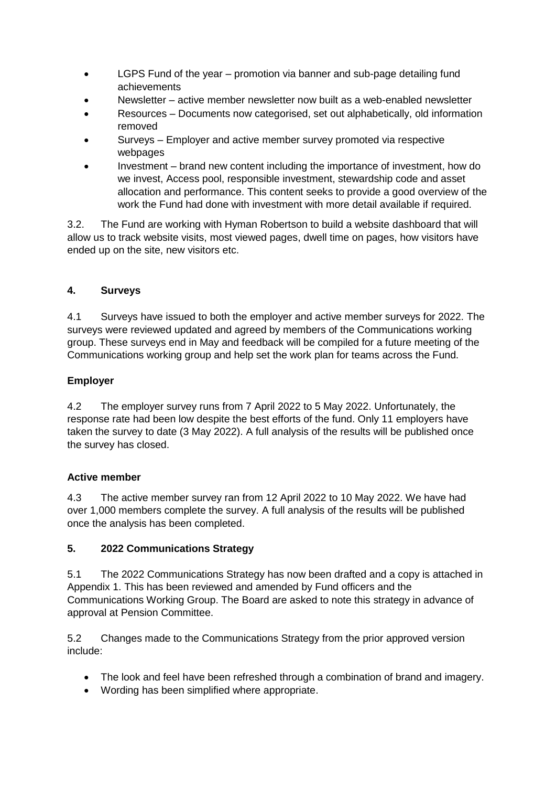- LGPS Fund of the year promotion via banner and sub-page detailing fund achievements
- Newsletter active member newsletter now built as a web-enabled newsletter
- Resources Documents now categorised, set out alphabetically, old information removed
- Surveys Employer and active member survey promoted via respective webpages
- Investment brand new content including the importance of investment, how do we invest, Access pool, responsible investment, stewardship code and asset allocation and performance. This content seeks to provide a good overview of the work the Fund had done with investment with more detail available if required.

3.2. The Fund are working with Hyman Robertson to build a website dashboard that will allow us to track website visits, most viewed pages, dwell time on pages, how visitors have ended up on the site, new visitors etc.

## **4. Surveys**

4.1 Surveys have issued to both the employer and active member surveys for 2022. The surveys were reviewed updated and agreed by members of the Communications working group. These surveys end in May and feedback will be compiled for a future meeting of the Communications working group and help set the work plan for teams across the Fund.

# **Employer**

4.2 The employer survey runs from 7 April 2022 to 5 May 2022. Unfortunately, the response rate had been low despite the best efforts of the fund. Only 11 employers have taken the survey to date (3 May 2022). A full analysis of the results will be published once the survey has closed.

## **Active member**

4.3 The active member survey ran from 12 April 2022 to 10 May 2022. We have had over 1,000 members complete the survey. A full analysis of the results will be published once the analysis has been completed.

# **5. 2022 Communications Strategy**

5.1 The 2022 Communications Strategy has now been drafted and a copy is attached in Appendix 1. This has been reviewed and amended by Fund officers and the Communications Working Group. The Board are asked to note this strategy in advance of approval at Pension Committee.

5.2 Changes made to the Communications Strategy from the prior approved version include:

- The look and feel have been refreshed through a combination of brand and imagery.
- Wording has been simplified where appropriate.